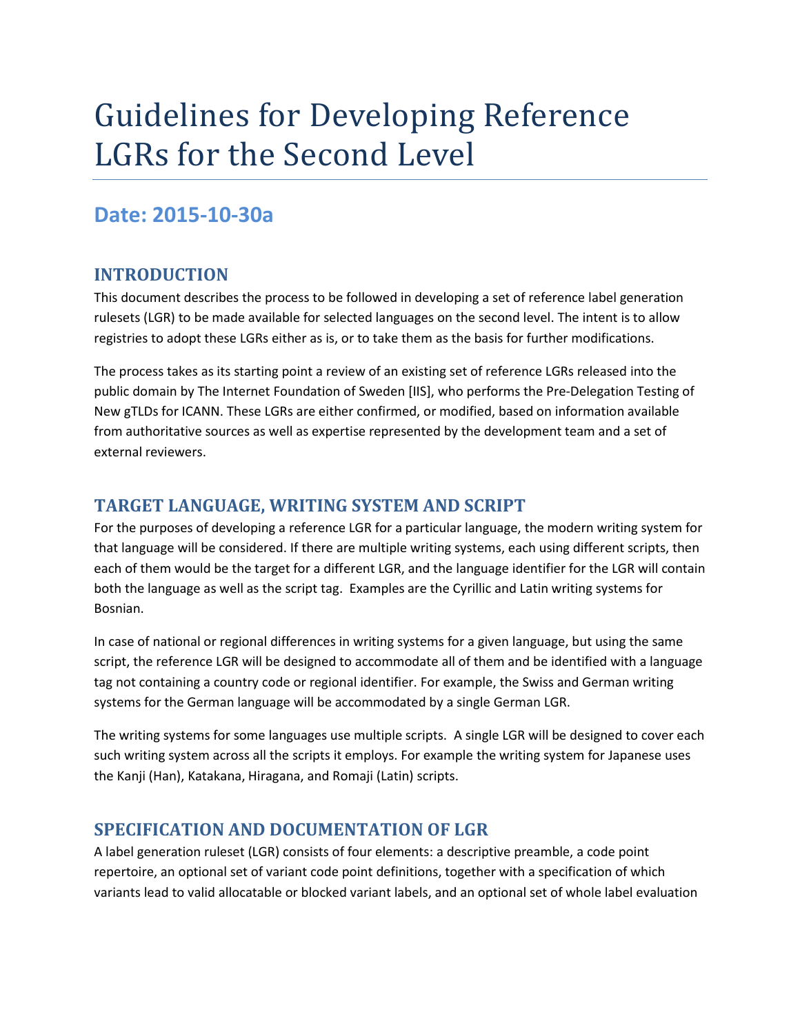# **Date: 2015-10-30a**

## **INTRODUCTION**

This document describes the process to be followed in developing a set of reference label generation rulesets (LGR) to be made available for selected languages on the second level. The intent is to allow registries to adopt these LGRs either as is, or to take them as the basis for further modifications.

The process takes as its starting point a review of an existing set of reference LGRs released into the public domain by The Internet Foundation of Sweden [IIS], who performs the Pre-Delegation Testing of New gTLDs for ICANN. These LGRs are either confirmed, or modified, based on information available from authoritative sources as well as expertise represented by the development team and a set of external reviewers.

## **TARGET LANGUAGE, WRITING SYSTEM AND SCRIPT**

For the purposes of developing a reference LGR for a particular language, the modern writing system for that language will be considered. If there are multiple writing systems, each using different scripts, then each of them would be the target for a different LGR, and the language identifier for the LGR will contain both the language as well as the script tag. Examples are the Cyrillic and Latin writing systems for Bosnian.

In case of national or regional differences in writing systems for a given language, but using the same script, the reference LGR will be designed to accommodate all of them and be identified with a language tag not containing a country code or regional identifier. For example, the Swiss and German writing systems for the German language will be accommodated by a single German LGR.

The writing systems for some languages use multiple scripts. A single LGR will be designed to cover each such writing system across all the scripts it employs. For example the writing system for Japanese uses the Kanji (Han), Katakana, Hiragana, and Romaji (Latin) scripts.

## **SPECIFICATION AND DOCUMENTATION OF LGR**

A label generation ruleset (LGR) consists of four elements: a descriptive preamble, a code point repertoire, an optional set of variant code point definitions, together with a specification of which variants lead to valid allocatable or blocked variant labels, and an optional set of whole label evaluation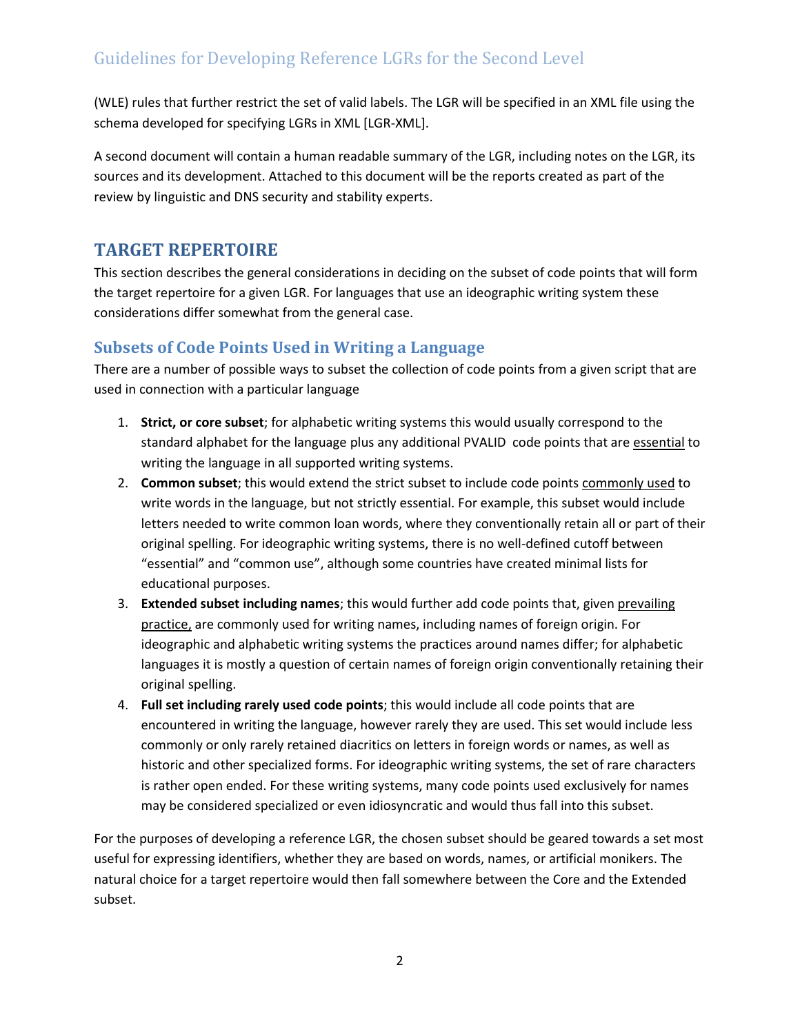(WLE) rules that further restrict the set of valid labels. The LGR will be specified in an XML file using the schema developed for specifying LGRs in XML [LGR-XML].

A second document will contain a human readable summary of the LGR, including notes on the LGR, its sources and its development. Attached to this document will be the reports created as part of the review by linguistic and DNS security and stability experts.

# **TARGET REPERTOIRE**

This section describes the general considerations in deciding on the subset of code points that will form the target repertoire for a given LGR. For languages that use an ideographic writing system these considerations differ somewhat from the general case.

#### **Subsets of Code Points Used in Writing a Language**

There are a number of possible ways to subset the collection of code points from a given script that are used in connection with a particular language

- 1. **Strict, or core subset**; for alphabetic writing systems this would usually correspond to the standard alphabet for the language plus any additional PVALID code points that are essential to writing the language in all supported writing systems.
- 2. **Common subset**; this would extend the strict subset to include code points commonly used to write words in the language, but not strictly essential. For example, this subset would include letters needed to write common loan words, where they conventionally retain all or part of their original spelling. For ideographic writing systems, there is no well-defined cutoff between "essential" and "common use", although some countries have created minimal lists for educational purposes.
- 3. **Extended subset including names**; this would further add code points that, given prevailing practice, are commonly used for writing names, including names of foreign origin. For ideographic and alphabetic writing systems the practices around names differ; for alphabetic languages it is mostly a question of certain names of foreign origin conventionally retaining their original spelling.
- 4. **Full set including rarely used code points**; this would include all code points that are encountered in writing the language, however rarely they are used. This set would include less commonly or only rarely retained diacritics on letters in foreign words or names, as well as historic and other specialized forms. For ideographic writing systems, the set of rare characters is rather open ended. For these writing systems, many code points used exclusively for names may be considered specialized or even idiosyncratic and would thus fall into this subset.

For the purposes of developing a reference LGR, the chosen subset should be geared towards a set most useful for expressing identifiers, whether they are based on words, names, or artificial monikers. The natural choice for a target repertoire would then fall somewhere between the Core and the Extended subset.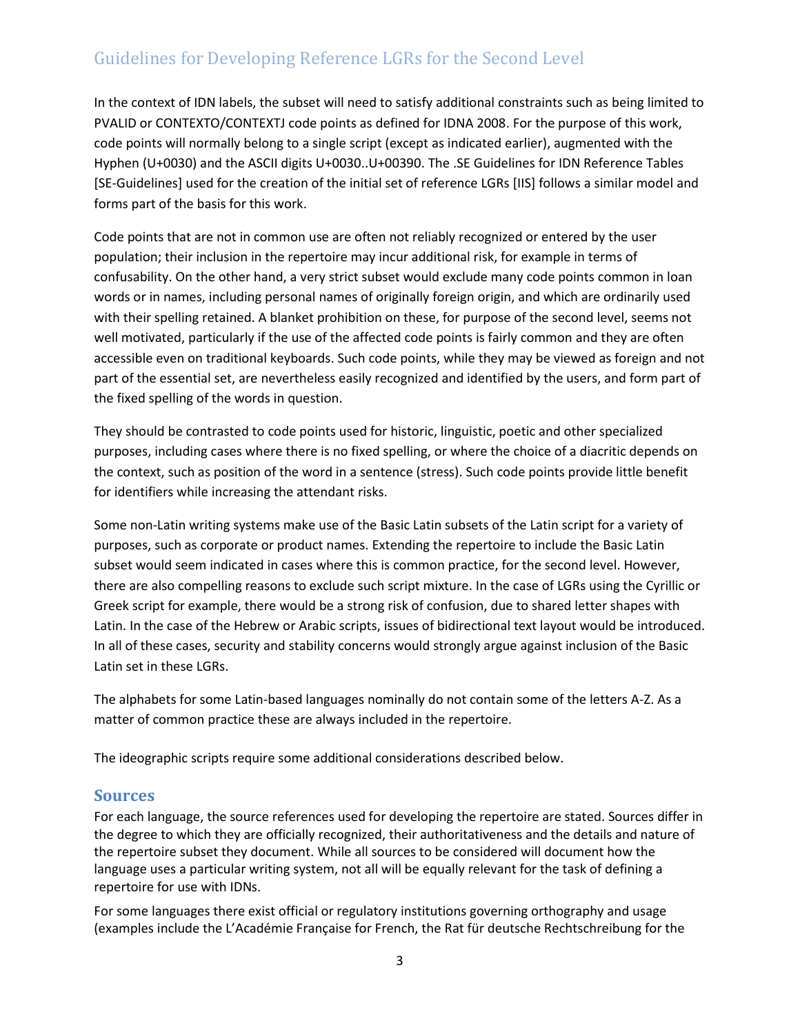In the context of IDN labels, the subset will need to satisfy additional constraints such as being limited to PVALID or CONTEXTO/CONTEXTJ code points as defined for IDNA 2008. For the purpose of this work, code points will normally belong to a single script (except as indicated earlier), augmented with the Hyphen (U+0030) and the ASCII digits U+0030..U+00390. The .SE Guidelines for IDN Reference Tables [SE-Guidelines] used for the creation of the initial set of reference LGRs [IIS] follows a similar model and forms part of the basis for this work.

Code points that are not in common use are often not reliably recognized or entered by the user population; their inclusion in the repertoire may incur additional risk, for example in terms of confusability. On the other hand, a very strict subset would exclude many code points common in loan words or in names, including personal names of originally foreign origin, and which are ordinarily used with their spelling retained. A blanket prohibition on these, for purpose of the second level, seems not well motivated, particularly if the use of the affected code points is fairly common and they are often accessible even on traditional keyboards. Such code points, while they may be viewed as foreign and not part of the essential set, are nevertheless easily recognized and identified by the users, and form part of the fixed spelling of the words in question.

They should be contrasted to code points used for historic, linguistic, poetic and other specialized purposes, including cases where there is no fixed spelling, or where the choice of a diacritic depends on the context, such as position of the word in a sentence (stress). Such code points provide little benefit for identifiers while increasing the attendant risks.

Some non-Latin writing systems make use of the Basic Latin subsets of the Latin script for a variety of purposes, such as corporate or product names. Extending the repertoire to include the Basic Latin subset would seem indicated in cases where this is common practice, for the second level. However, there are also compelling reasons to exclude such script mixture. In the case of LGRs using the Cyrillic or Greek script for example, there would be a strong risk of confusion, due to shared letter shapes with Latin. In the case of the Hebrew or Arabic scripts, issues of bidirectional text layout would be introduced. In all of these cases, security and stability concerns would strongly argue against inclusion of the Basic Latin set in these LGRs.

The alphabets for some Latin-based languages nominally do not contain some of the letters A-Z. As a matter of common practice these are always included in the repertoire.

The ideographic scripts require some additional considerations described below.

#### <span id="page-2-0"></span>**Sources**

For each language, the source references used for developing the repertoire are stated. Sources differ in the degree to which they are officially recognized, their authoritativeness and the details and nature of the repertoire subset they document. While all sources to be considered will document how the language uses a particular writing system, not all will be equally relevant for the task of defining a repertoire for use with IDNs.

For some languages there exist official or regulatory institutions governing orthography and usage (examples include the L'Académie Française for French, the Rat für deutsche Rechtschreibung for the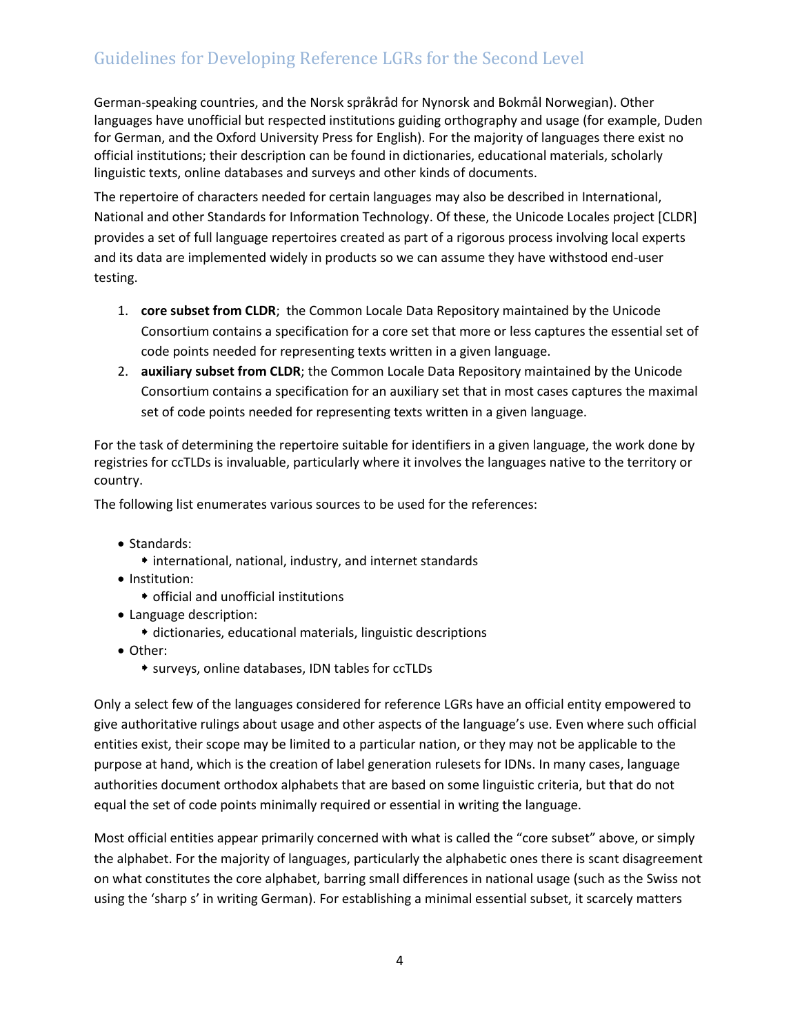German-speaking countries, and the Norsk språkråd for Nynorsk and Bokmål Norwegian). Other languages have unofficial but respected institutions guiding orthography and usage (for example, Duden for German, and the Oxford University Press for English). For the majority of languages there exist no official institutions; their description can be found in dictionaries, educational materials, scholarly linguistic texts, online databases and surveys and other kinds of documents.

The repertoire of characters needed for certain languages may also be described in International, National and other Standards for Information Technology. Of these, the Unicode Locales project [CLDR] provides a set of full language repertoires created as part of a rigorous process involving local experts and its data are implemented widely in products so we can assume they have withstood end-user testing.

- 1. **core subset from CLDR**; the Common Locale Data Repository maintained by the Unicode Consortium contains a specification for a core set that more or less captures the essential set of code points needed for representing texts written in a given language.
- 2. **auxiliary subset from CLDR**; the Common Locale Data Repository maintained by the Unicode Consortium contains a specification for an auxiliary set that in most cases captures the maximal set of code points needed for representing texts written in a given language.

For the task of determining the repertoire suitable for identifiers in a given language, the work done by registries for ccTLDs is invaluable, particularly where it involves the languages native to the territory or country.

The following list enumerates various sources to be used for the references:

- Standards:
	- international, national, industry, and internet standards
- Institution:
	- official and unofficial institutions
- Language description:
	- dictionaries, educational materials, linguistic descriptions
- Other:
	- surveys, online databases, IDN tables for ccTLDs

Only a select few of the languages considered for reference LGRs have an official entity empowered to give authoritative rulings about usage and other aspects of the language's use. Even where such official entities exist, their scope may be limited to a particular nation, or they may not be applicable to the purpose at hand, which is the creation of label generation rulesets for IDNs. In many cases, language authorities document orthodox alphabets that are based on some linguistic criteria, but that do not equal the set of code points minimally required or essential in writing the language.

Most official entities appear primarily concerned with what is called the "core subset" above, or simply the alphabet. For the majority of languages, particularly the alphabetic ones there is scant disagreement on what constitutes the core alphabet, barring small differences in national usage (such as the Swiss not using the 'sharp s' in writing German). For establishing a minimal essential subset, it scarcely matters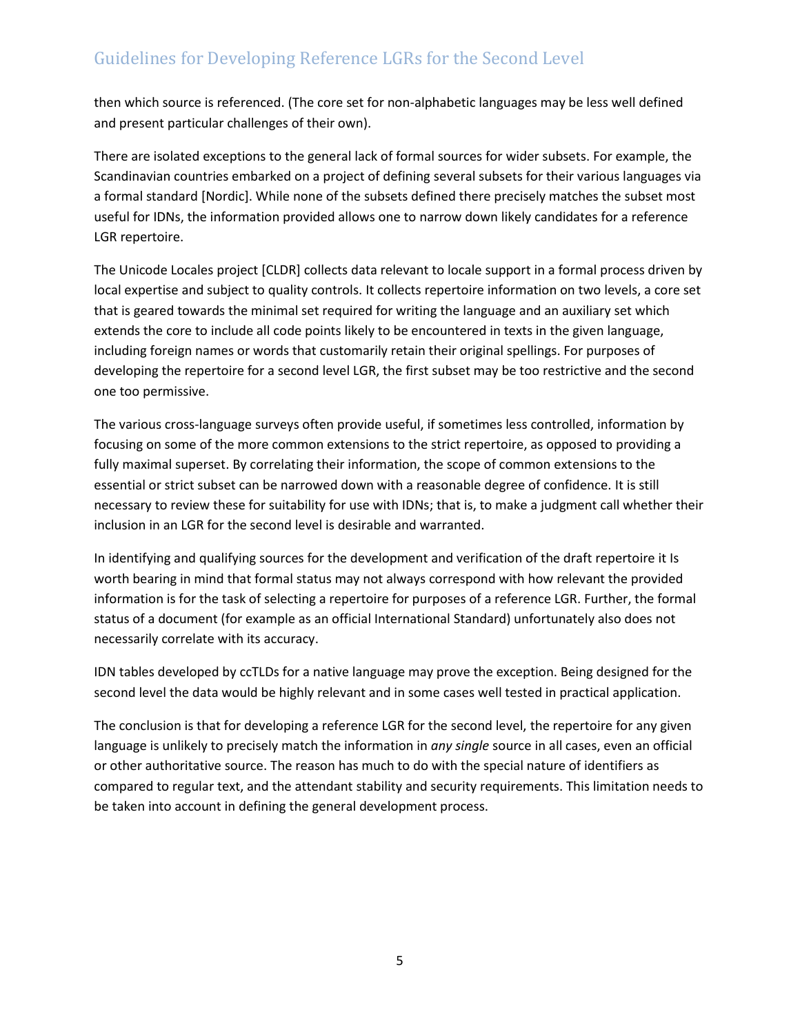then which source is referenced. (The core set for non-alphabetic languages may be less well defined and present particular challenges of their own).

There are isolated exceptions to the general lack of formal sources for wider subsets. For example, the Scandinavian countries embarked on a project of defining several subsets for their various languages via a formal standard [Nordic]. While none of the subsets defined there precisely matches the subset most useful for IDNs, the information provided allows one to narrow down likely candidates for a reference LGR repertoire.

The Unicode Locales project [CLDR] collects data relevant to locale support in a formal process driven by local expertise and subject to quality controls. It collects repertoire information on two levels, a core set that is geared towards the minimal set required for writing the language and an auxiliary set which extends the core to include all code points likely to be encountered in texts in the given language, including foreign names or words that customarily retain their original spellings. For purposes of developing the repertoire for a second level LGR, the first subset may be too restrictive and the second one too permissive.

The various cross-language surveys often provide useful, if sometimes less controlled, information by focusing on some of the more common extensions to the strict repertoire, as opposed to providing a fully maximal superset. By correlating their information, the scope of common extensions to the essential or strict subset can be narrowed down with a reasonable degree of confidence. It is still necessary to review these for suitability for use with IDNs; that is, to make a judgment call whether their inclusion in an LGR for the second level is desirable and warranted.

In identifying and qualifying sources for the development and verification of the draft repertoire it Is worth bearing in mind that formal status may not always correspond with how relevant the provided information is for the task of selecting a repertoire for purposes of a reference LGR. Further, the formal status of a document (for example as an official International Standard) unfortunately also does not necessarily correlate with its accuracy.

IDN tables developed by ccTLDs for a native language may prove the exception. Being designed for the second level the data would be highly relevant and in some cases well tested in practical application.

The conclusion is that for developing a reference LGR for the second level, the repertoire for any given language is unlikely to precisely match the information in *any single* source in all cases, even an official or other authoritative source. The reason has much to do with the special nature of identifiers as compared to regular text, and the attendant stability and security requirements. This limitation needs to be taken into account in defining the general development process.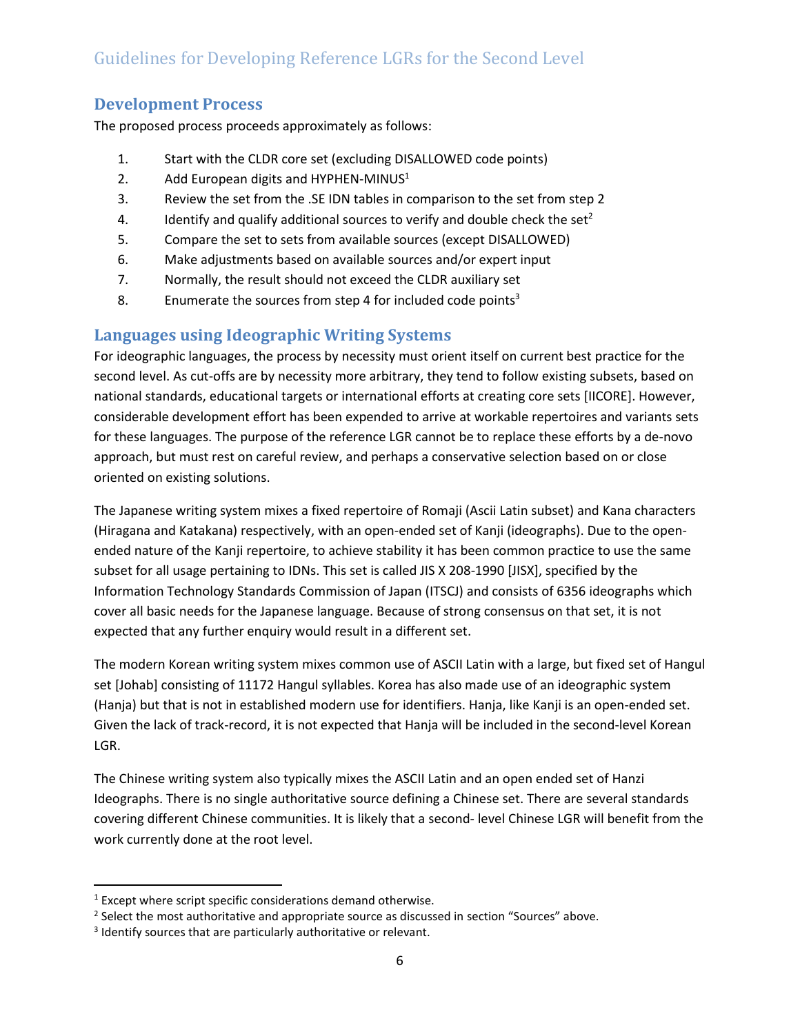#### **Development Process**

The proposed process proceeds approximately as follows:

- 1. Start with the CLDR core set (excluding DISALLOWED code points)
- 2. Add European digits and HYPHEN-MINUS<sup>1</sup>
- 3. Review the set from the .SE IDN tables in comparison to the set from step 2
- 4. Identify and qualify additional sources to verify and double check the set<sup>2</sup>
- 5. Compare the set to sets from available sources (except DISALLOWED)
- 6. Make adjustments based on available sources and/or expert input
- 7. Normally, the result should not exceed the CLDR auxiliary set
- 8. Enumerate the sources from step 4 for included code points<sup>3</sup>

## **Languages using Ideographic Writing Systems**

For ideographic languages, the process by necessity must orient itself on current best practice for the second level. As cut-offs are by necessity more arbitrary, they tend to follow existing subsets, based on national standards, educational targets or international efforts at creating core sets [IICORE]. However, considerable development effort has been expended to arrive at workable repertoires and variants sets for these languages. The purpose of the reference LGR cannot be to replace these efforts by a de-novo approach, but must rest on careful review, and perhaps a conservative selection based on or close oriented on existing solutions.

The Japanese writing system mixes a fixed repertoire of Romaji (Ascii Latin subset) and Kana characters (Hiragana and Katakana) respectively, with an open-ended set of Kanji (ideographs). Due to the openended nature of the Kanji repertoire, to achieve stability it has been common practice to use the same subset for all usage pertaining to IDNs. This set is called JIS X 208-1990 [JISX], specified by the Information Technology Standards Commission of Japan (ITSCJ) and consists of 6356 ideographs which cover all basic needs for the Japanese language. Because of strong consensus on that set, it is not expected that any further enquiry would result in a different set.

The modern Korean writing system mixes common use of ASCII Latin with a large, but fixed set of Hangul set [Johab] consisting of 11172 Hangul syllables. Korea has also made use of an ideographic system (Hanja) but that is not in established modern use for identifiers. Hanja, like Kanji is an open-ended set. Given the lack of track-record, it is not expected that Hanja will be included in the second-level Korean LGR.

The Chinese writing system also typically mixes the ASCII Latin and an open ended set of Hanzi Ideographs. There is no single authoritative source defining a Chinese set. There are several standards covering different Chinese communities. It is likely that a second- level Chinese LGR will benefit from the work currently done at the root level.

 $\overline{\phantom{a}}$ 

<sup>&</sup>lt;sup>1</sup> Except where script specific considerations demand otherwise.

 $2$  Select the most authoritative and appropriate source as discussed in section "[Sources](#page-2-0)" above.

<sup>&</sup>lt;sup>3</sup> Identify sources that are particularly authoritative or relevant.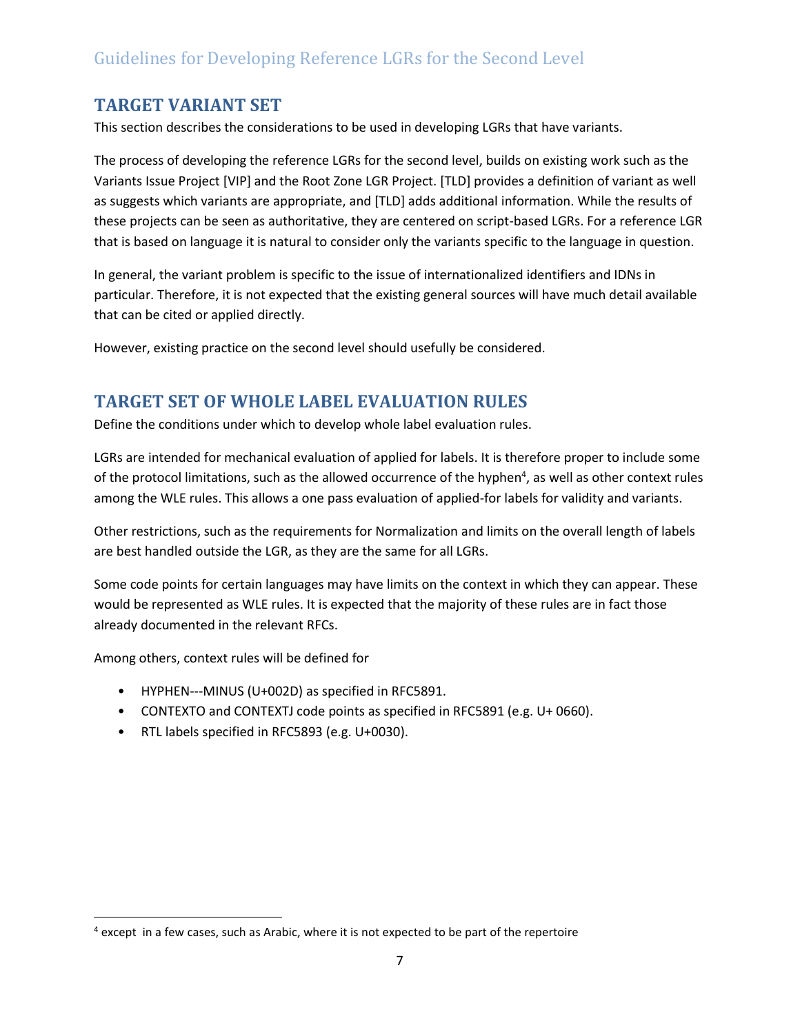## **TARGET VARIANT SET**

This section describes the considerations to be used in developing LGRs that have variants.

The process of developing the reference LGRs for the second level, builds on existing work such as the Variants Issue Project [VIP] and the Root Zone LGR Project. [TLD] provides a definition of variant as well as suggests which variants are appropriate, and [TLD] adds additional information. While the results of these projects can be seen as authoritative, they are centered on script-based LGRs. For a reference LGR that is based on language it is natural to consider only the variants specific to the language in question.

In general, the variant problem is specific to the issue of internationalized identifiers and IDNs in particular. Therefore, it is not expected that the existing general sources will have much detail available that can be cited or applied directly.

However, existing practice on the second level should usefully be considered.

## **TARGET SET OF WHOLE LABEL EVALUATION RULES**

Define the conditions under which to develop whole label evaluation rules.

LGRs are intended for mechanical evaluation of applied for labels. It is therefore proper to include some of the protocol limitations, such as the allowed occurrence of the hyphen<sup>4</sup>, as well as other context rules among the WLE rules. This allows a one pass evaluation of applied-for labels for validity and variants.

Other restrictions, such as the requirements for Normalization and limits on the overall length of labels are best handled outside the LGR, as they are the same for all LGRs.

Some code points for certain languages may have limits on the context in which they can appear. These would be represented as WLE rules. It is expected that the majority of these rules are in fact those already documented in the relevant RFCs.

Among others, context rules will be defined for

 $\overline{\phantom{a}}$ 

- HYPHEN---MINUS (U+002D) as specified in RFC5891.
- CONTEXTO and CONTEXTJ code points as specified in RFC5891 (e.g. U+ 0660).
- RTL labels specified in RFC5893 (e.g. U+0030).

 $4$  except in a few cases, such as Arabic, where it is not expected to be part of the repertoire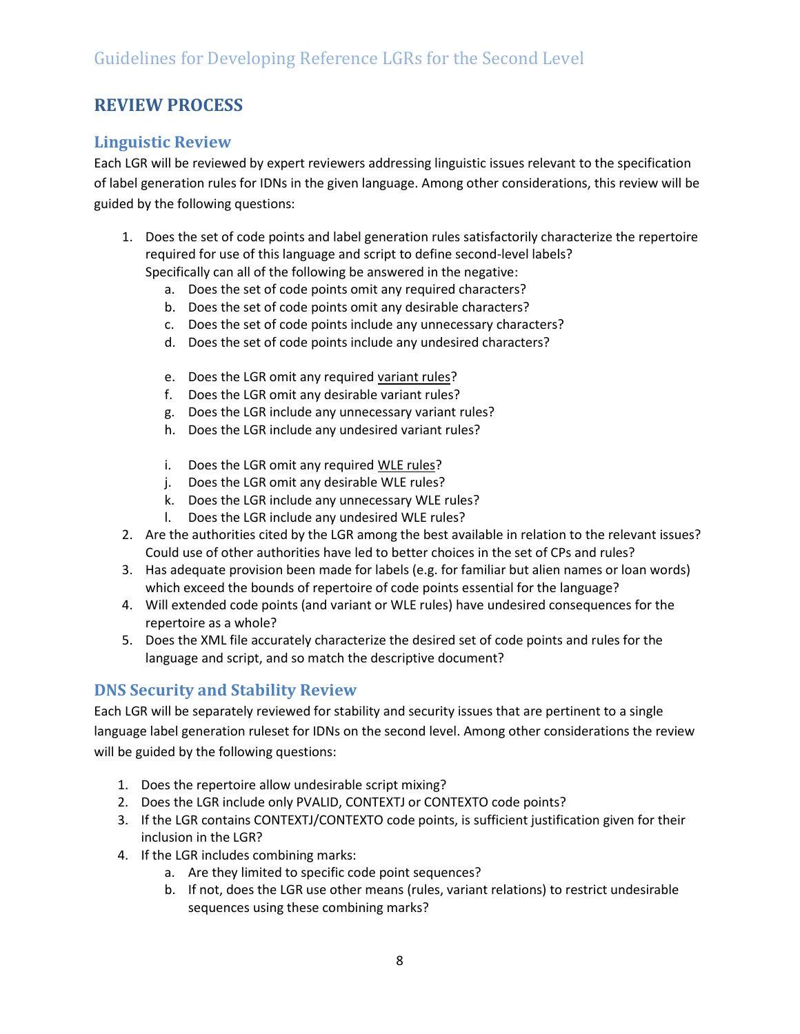## **REVIEW PROCESS**

#### **Linguistic Review**

Each LGR will be reviewed by expert reviewers addressing linguistic issues relevant to the specification of label generation rules for IDNs in the given language. Among other considerations, this review will be guided by the following questions:

- 1. Does the set of code points and label generation rules satisfactorily characterize the repertoire required for use of this language and script to define second-level labels? Specifically can all of the following be answered in the negative:
	- a. Does the set of code points omit any required characters?
	- b. Does the set of code points omit any desirable characters?
	- c. Does the set of code points include any unnecessary characters?
	- d. Does the set of code points include any undesired characters?
	- e. Does the LGR omit any required variant rules?
	- f. Does the LGR omit any desirable variant rules?
	- g. Does the LGR include any unnecessary variant rules?
	- h. Does the LGR include any undesired variant rules?
	- i. Does the LGR omit any required WLE rules?
	- j. Does the LGR omit any desirable WLE rules?
	- k. Does the LGR include any unnecessary WLE rules?
	- l. Does the LGR include any undesired WLE rules?
- 2. Are the authorities cited by the LGR among the best available in relation to the relevant issues? Could use of other authorities have led to better choices in the set of CPs and rules?
- 3. Has adequate provision been made for labels (e.g. for familiar but alien names or loan words) which exceed the bounds of repertoire of code points essential for the language?
- 4. Will extended code points (and variant or WLE rules) have undesired consequences for the repertoire as a whole?
- 5. Does the XML file accurately characterize the desired set of code points and rules for the language and script, and so match the descriptive document?

#### **DNS Security and Stability Review**

Each LGR will be separately reviewed for stability and security issues that are pertinent to a single language label generation ruleset for IDNs on the second level. Among other considerations the review will be guided by the following questions:

- 1. Does the repertoire allow undesirable script mixing?
- 2. Does the LGR include only PVALID, CONTEXTJ or CONTEXTO code points?
- 3. If the LGR contains CONTEXTJ/CONTEXTO code points, is sufficient justification given for their inclusion in the LGR?
- 4. If the LGR includes combining marks:
	- a. Are they limited to specific code point sequences?
	- b. If not, does the LGR use other means (rules, variant relations) to restrict undesirable sequences using these combining marks?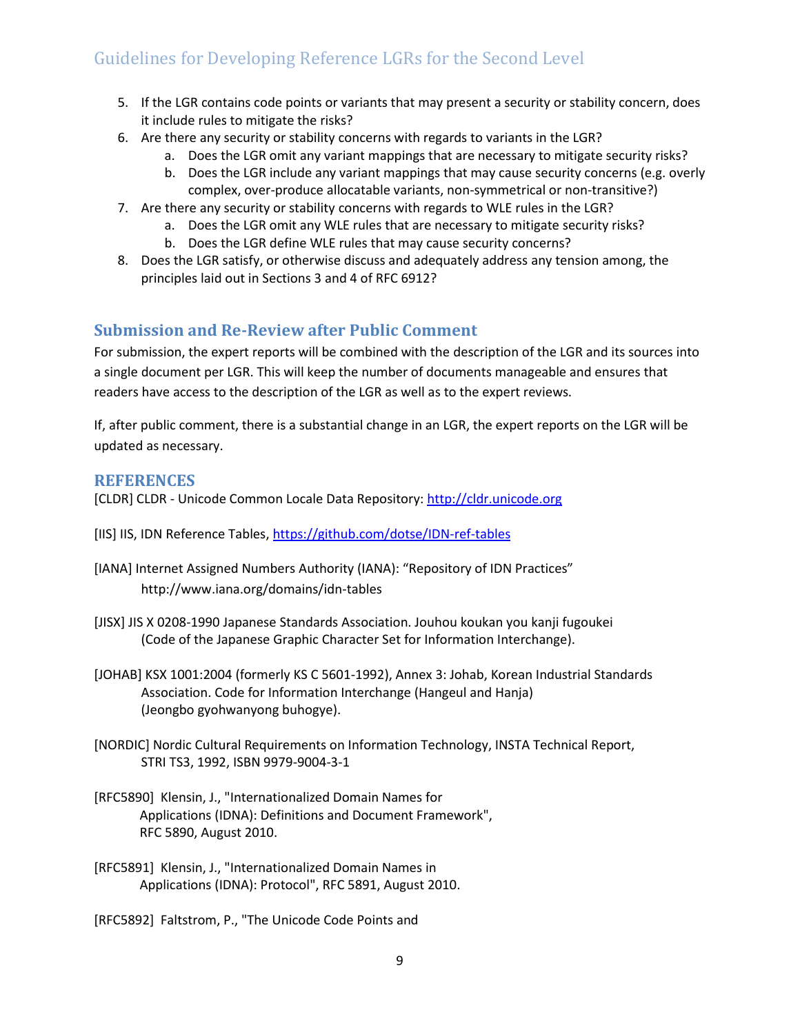- 5. If the LGR contains code points or variants that may present a security or stability concern, does it include rules to mitigate the risks?
- 6. Are there any security or stability concerns with regards to variants in the LGR?
	- a. Does the LGR omit any variant mappings that are necessary to mitigate security risks?
	- b. Does the LGR include any variant mappings that may cause security concerns (e.g. overly complex, over-produce allocatable variants, non-symmetrical or non-transitive?)
- 7. Are there any security or stability concerns with regards to WLE rules in the LGR?
	- a. Does the LGR omit any WLE rules that are necessary to mitigate security risks?
	- b. Does the LGR define WLE rules that may cause security concerns?
- 8. Does the LGR satisfy, or otherwise discuss and adequately address any tension among, the principles laid out in Sections 3 and 4 of RFC 6912?

#### **Submission and Re-Review after Public Comment**

For submission, the expert reports will be combined with the description of the LGR and its sources into a single document per LGR. This will keep the number of documents manageable and ensures that readers have access to the description of the LGR as well as to the expert reviews.

If, after public comment, there is a substantial change in an LGR, the expert reports on the LGR will be updated as necessary.

#### **REFERENCES**

[CLDR] CLDR - Unicode Common Locale Data Repository: [http://cldr.unicode.org](http://cldr.unicode.org/)

- [IIS] IIS, IDN Reference Tables[, https://github.com/dotse/IDN-ref-tables](https://github.com/dotse/IDN-ref-tables)
- [IANA] Internet Assigned Numbers Authority (IANA): "Repository of IDN Practices" <http://www.iana.org/domains/idn-tables>
- [JISX] JIS X 0208-1990 Japanese Standards Association. Jouhou koukan you kanji fugoukei (Code of the Japanese Graphic Character Set for Information Interchange).
- [JOHAB] KSX 1001:2004 (formerly KS C 5601-1992), Annex 3: Johab, Korean Industrial Standards Association. Code for Information Interchange (Hangeul and Hanja) (Jeongbo gyohwanyong buhogye).
- [NORDIC] Nordic Cultural Requirements on Information Technology, INSTA Technical Report, STRI TS3, 1992, ISBN 9979-9004-3-1
- [RFC5890] Klensin, J., "Internationalized Domain Names for Applications (IDNA): Definitions and Document Framework", [RFC 5890,](https://tools.ietf.org/html/rfc5890) August 2010.
- [RFC5891] Klensin, J., "Internationalized Domain Names in Applications (IDNA): Protocol", [RFC 5891,](https://tools.ietf.org/html/rfc5891) August 2010.

[RFC5892] Faltstrom, P., "The Unicode Code Points and